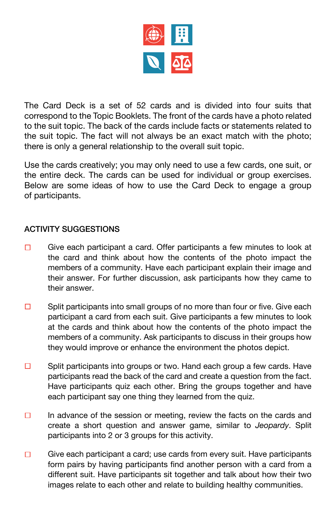

The Card Deck is a set of 52 cards and is divided into four suits that correspond to the Topic Booklets. The front of the cards have a photo related to the suit topic. The back of the cards include facts or statements related to the suit topic. The fact will not always be an exact match with the photo; there is only a general relationship to the overall suit topic.

Use the cards creatively; you may only need to use a few cards, one suit, or the entire deck. The cards can be used for individual or group exercises. Below are some ideas of how to use the Card Deck to engage a group of participants.

## ACTIVITY SUGGESTIONS

- Give each participant a card. Offer participants a few minutes to look at  $\Box$ the card and think about how the contents of the photo impact the members of a community. Have each participant explain their image and their answer. For further discussion, ask participants how they came to their answer.
- $\Box$ Split participants into small groups of no more than four or five. Give each participant a card from each suit. Give participants a few minutes to look at the cards and think about how the contents of the photo impact the members of a community. Ask participants to discuss in their groups how they would improve or enhance the environment the photos depict.
- $\Box$ Split participants into groups or two. Hand each group a few cards. Have participants read the back of the card and create a question from the fact. Have participants quiz each other. Bring the groups together and have each participant say one thing they learned from the quiz.
- $\Box$ In advance of the session or meeting, review the facts on the cards and create a short question and answer game, similar to *Jeopardy*. Split participants into 2 or 3 groups for this activity.
- $\Box$ Give each participant a card; use cards from every suit. Have participants form pairs by having participants find another person with a card from a different suit. Have participants sit together and talk about how their two images relate to each other and relate to building healthy communities.